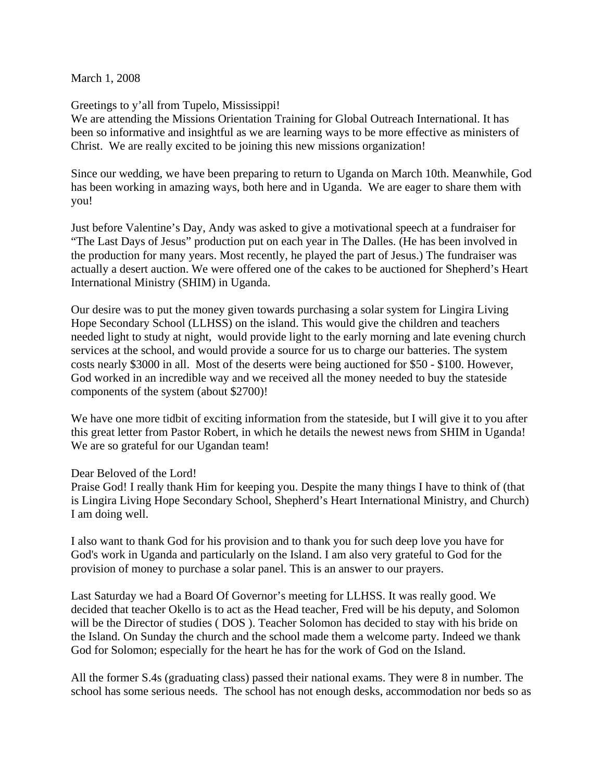March 1, 2008

## Greetings to y'all from Tupelo, Mississippi!

We are attending the Missions Orientation Training for Global Outreach International. It has been so informative and insightful as we are learning ways to be more effective as ministers of Christ. We are really excited to be joining this new missions organization!

Since our wedding, we have been preparing to return to Uganda on March 10th. Meanwhile, God has been working in amazing ways, both here and in Uganda. We are eager to share them with you!

Just before Valentine's Day, Andy was asked to give a motivational speech at a fundraiser for "The Last Days of Jesus" production put on each year in The Dalles. (He has been involved in the production for many years. Most recently, he played the part of Jesus.) The fundraiser was actually a desert auction. We were offered one of the cakes to be auctioned for Shepherd's Heart International Ministry (SHIM) in Uganda.

Our desire was to put the money given towards purchasing a solar system for Lingira Living Hope Secondary School (LLHSS) on the island. This would give the children and teachers needed light to study at night, would provide light to the early morning and late evening church services at the school, and would provide a source for us to charge our batteries. The system costs nearly \$3000 in all. Most of the deserts were being auctioned for \$50 - \$100. However, God worked in an incredible way and we received all the money needed to buy the stateside components of the system (about \$2700)!

We have one more tidbit of exciting information from the stateside, but I will give it to you after this great letter from Pastor Robert, in which he details the newest news from SHIM in Uganda! We are so grateful for our Ugandan team!

## Dear Beloved of the Lord!

Praise God! I really thank Him for keeping you. Despite the many things I have to think of (that is Lingira Living Hope Secondary School, Shepherd's Heart International Ministry, and Church) I am doing well.

I also want to thank God for his provision and to thank you for such deep love you have for God's work in Uganda and particularly on the Island. I am also very grateful to God for the provision of money to purchase a solar panel. This is an answer to our prayers.

Last Saturday we had a Board Of Governor's meeting for LLHSS. It was really good. We decided that teacher Okello is to act as the Head teacher, Fred will be his deputy, and Solomon will be the Director of studies ( DOS ). Teacher Solomon has decided to stay with his bride on the Island. On Sunday the church and the school made them a welcome party. Indeed we thank God for Solomon; especially for the heart he has for the work of God on the Island.

All the former S.4s (graduating class) passed their national exams. They were 8 in number. The school has some serious needs. The school has not enough desks, accommodation nor beds so as